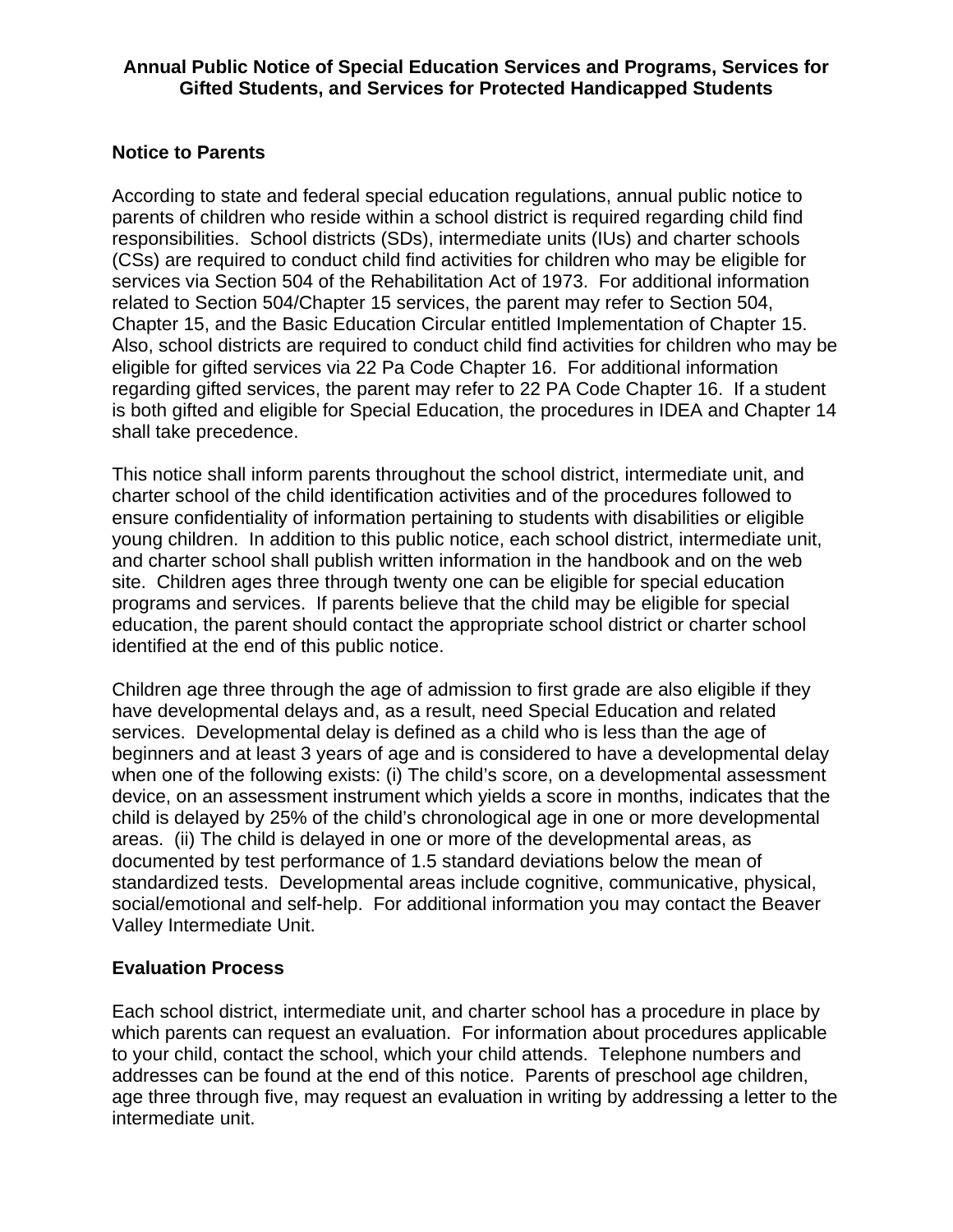#### **Annual Public Notice of Special Education Services and Programs, Services for Gifted Students, and Services for Protected Handicapped Students**

#### **Notice to Parents**

According to state and federal special education regulations, annual public notice to parents of children who reside within a school district is required regarding child find responsibilities. School districts (SDs), intermediate units (IUs) and charter schools (CSs) are required to conduct child find activities for children who may be eligible for services via Section 504 of the Rehabilitation Act of 1973. For additional information related to Section 504/Chapter 15 services, the parent may refer to Section 504, Chapter 15, and the Basic Education Circular entitled Implementation of Chapter 15. Also, school districts are required to conduct child find activities for children who may be eligible for gifted services via 22 Pa Code Chapter 16. For additional information regarding gifted services, the parent may refer to 22 PA Code Chapter 16. If a student is both gifted and eligible for Special Education, the procedures in IDEA and Chapter 14 shall take precedence.

This notice shall inform parents throughout the school district, intermediate unit, and charter school of the child identification activities and of the procedures followed to ensure confidentiality of information pertaining to students with disabilities or eligible young children. In addition to this public notice, each school district, intermediate unit, and charter school shall publish written information in the handbook and on the web site. Children ages three through twenty one can be eligible for special education programs and services. If parents believe that the child may be eligible for special education, the parent should contact the appropriate school district or charter school identified at the end of this public notice.

Children age three through the age of admission to first grade are also eligible if they have developmental delays and, as a result, need Special Education and related services. Developmental delay is defined as a child who is less than the age of beginners and at least 3 years of age and is considered to have a developmental delay when one of the following exists: (i) The child's score, on a developmental assessment device, on an assessment instrument which yields a score in months, indicates that the child is delayed by 25% of the child's chronological age in one or more developmental areas. (ii) The child is delayed in one or more of the developmental areas, as documented by test performance of 1.5 standard deviations below the mean of standardized tests. Developmental areas include cognitive, communicative, physical, social/emotional and self-help. For additional information you may contact the Beaver Valley Intermediate Unit.

## **Evaluation Process**

Each school district, intermediate unit, and charter school has a procedure in place by which parents can request an evaluation. For information about procedures applicable to your child, contact the school, which your child attends. Telephone numbers and addresses can be found at the end of this notice. Parents of preschool age children, age three through five, may request an evaluation in writing by addressing a letter to the intermediate unit.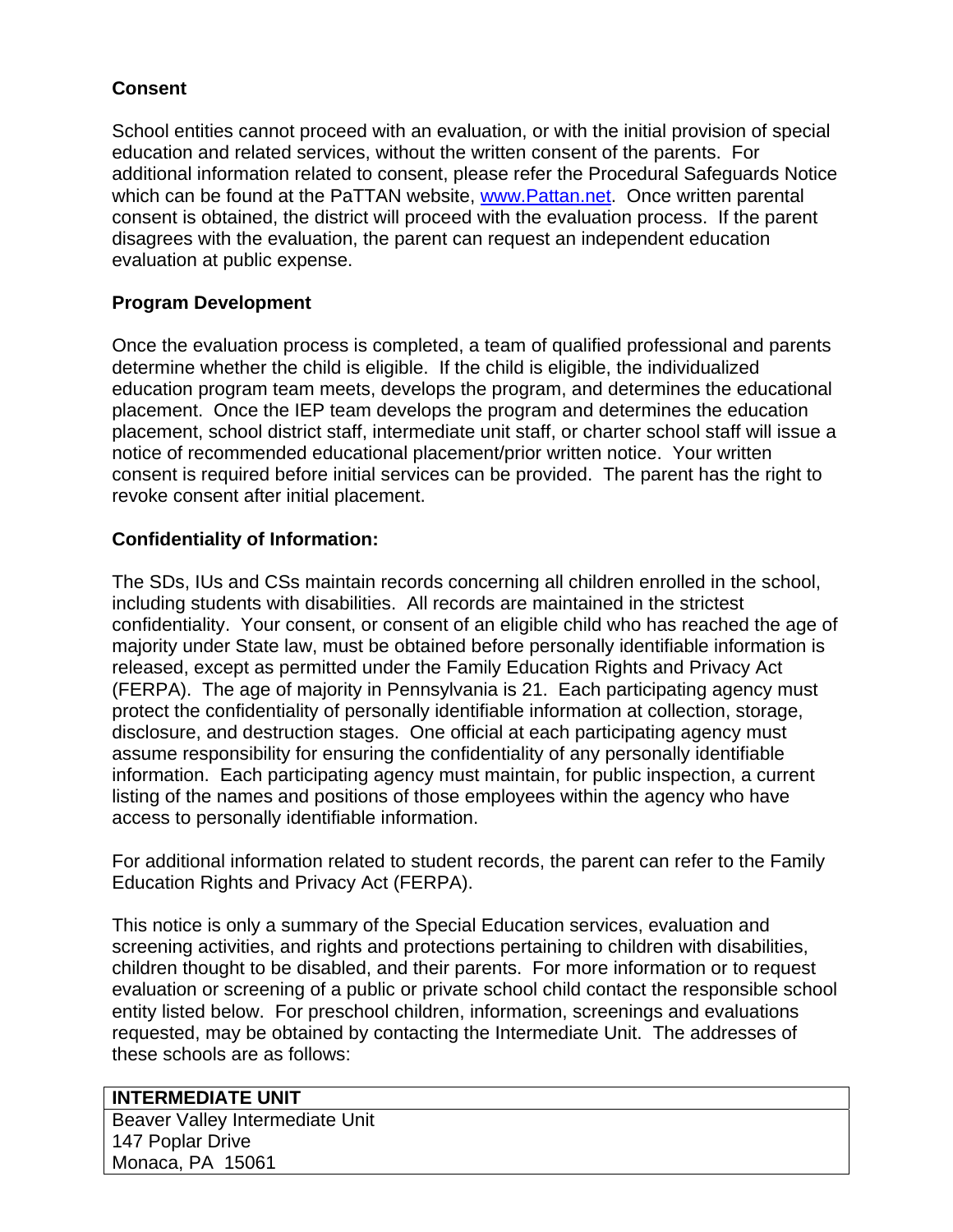## **Consent**

School entities cannot proceed with an evaluation, or with the initial provision of special education and related services, without the written consent of the parents. For additional information related to consent, please refer the Procedural Safeguards Notice which can be found at the PaTTAN website, [www.Pattan.net.](http://www.pattan.net/) Once written parental consent is obtained, the district will proceed with the evaluation process. If the parent disagrees with the evaluation, the parent can request an independent education evaluation at public expense.

## **Program Development**

Once the evaluation process is completed, a team of qualified professional and parents determine whether the child is eligible. If the child is eligible, the individualized education program team meets, develops the program, and determines the educational placement. Once the IEP team develops the program and determines the education placement, school district staff, intermediate unit staff, or charter school staff will issue a notice of recommended educational placement/prior written notice. Your written consent is required before initial services can be provided. The parent has the right to revoke consent after initial placement.

# **Confidentiality of Information:**

The SDs, IUs and CSs maintain records concerning all children enrolled in the school, including students with disabilities. All records are maintained in the strictest confidentiality. Your consent, or consent of an eligible child who has reached the age of majority under State law, must be obtained before personally identifiable information is released, except as permitted under the Family Education Rights and Privacy Act (FERPA). The age of majority in Pennsylvania is 21. Each participating agency must protect the confidentiality of personally identifiable information at collection, storage, disclosure, and destruction stages. One official at each participating agency must assume responsibility for ensuring the confidentiality of any personally identifiable information. Each participating agency must maintain, for public inspection, a current listing of the names and positions of those employees within the agency who have access to personally identifiable information.

For additional information related to student records, the parent can refer to the Family Education Rights and Privacy Act (FERPA).

This notice is only a summary of the Special Education services, evaluation and screening activities, and rights and protections pertaining to children with disabilities, children thought to be disabled, and their parents. For more information or to request evaluation or screening of a public or private school child contact the responsible school entity listed below. For preschool children, information, screenings and evaluations requested, may be obtained by contacting the Intermediate Unit. The addresses of these schools are as follows:

## **INTERMEDIATE UNIT**

Beaver Valley Intermediate Unit 147 Poplar Drive Monaca, PA 15061